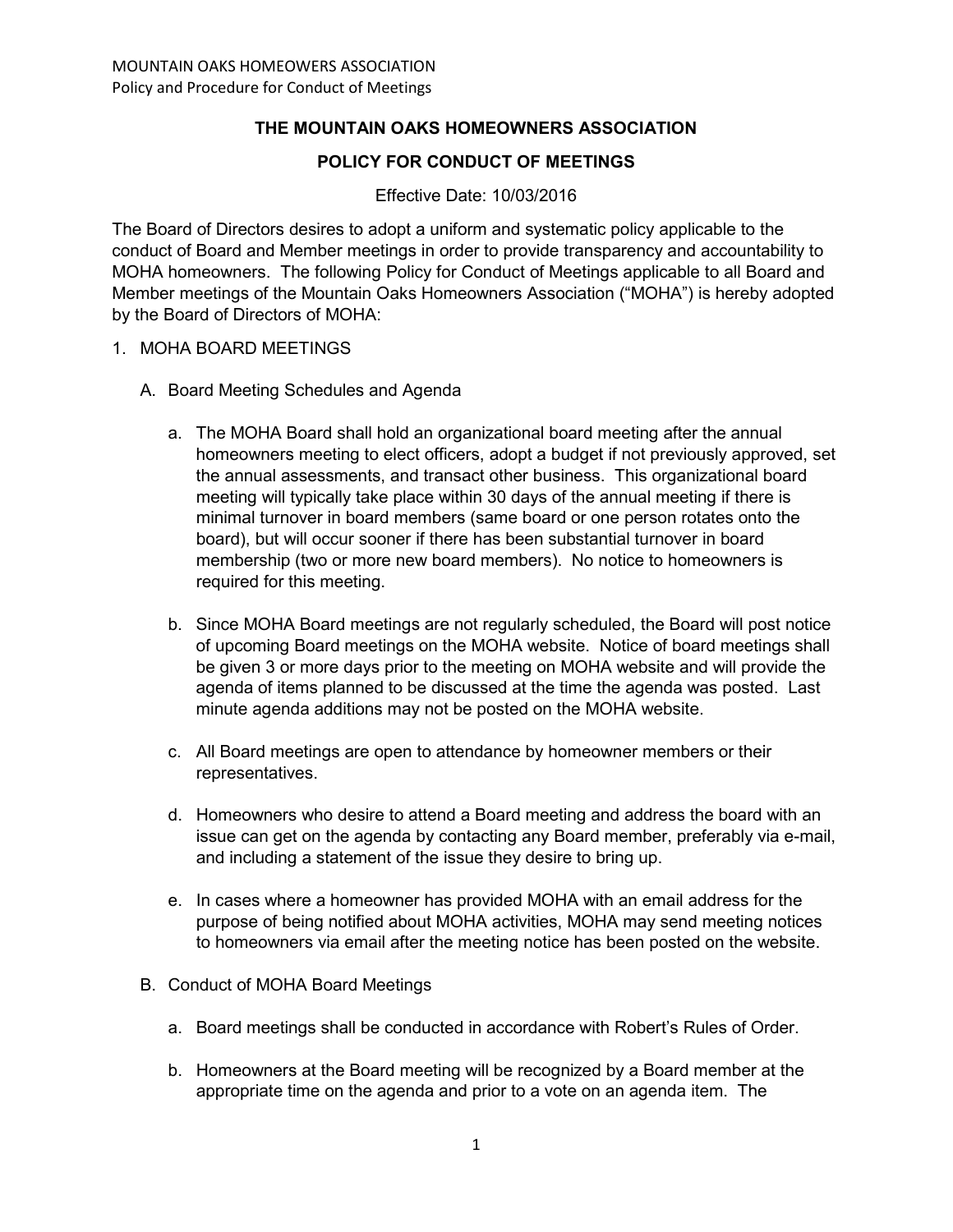# **THE MOUNTAIN OAKS HOMEOWNERS ASSOCIATION**

### **POLICY FOR CONDUCT OF MEETINGS**

#### Effective Date: 10/03/2016

The Board of Directors desires to adopt a uniform and systematic policy applicable to the conduct of Board and Member meetings in order to provide transparency and accountability to MOHA homeowners. The following Policy for Conduct of Meetings applicable to all Board and Member meetings of the Mountain Oaks Homeowners Association ("MOHA") is hereby adopted by the Board of Directors of MOHA:

#### 1. MOHA BOARD MEETINGS

- A. Board Meeting Schedules and Agenda
	- a. The MOHA Board shall hold an organizational board meeting after the annual homeowners meeting to elect officers, adopt a budget if not previously approved, set the annual assessments, and transact other business. This organizational board meeting will typically take place within 30 days of the annual meeting if there is minimal turnover in board members (same board or one person rotates onto the board), but will occur sooner if there has been substantial turnover in board membership (two or more new board members). No notice to homeowners is required for this meeting.
	- b. Since MOHA Board meetings are not regularly scheduled, the Board will post notice of upcoming Board meetings on the MOHA website. Notice of board meetings shall be given 3 or more days prior to the meeting on MOHA website and will provide the agenda of items planned to be discussed at the time the agenda was posted. Last minute agenda additions may not be posted on the MOHA website.
	- c. All Board meetings are open to attendance by homeowner members or their representatives.
	- d. Homeowners who desire to attend a Board meeting and address the board with an issue can get on the agenda by contacting any Board member, preferably via e-mail, and including a statement of the issue they desire to bring up.
	- e. In cases where a homeowner has provided MOHA with an email address for the purpose of being notified about MOHA activities, MOHA may send meeting notices to homeowners via email after the meeting notice has been posted on the website.
- B. Conduct of MOHA Board Meetings
	- a. Board meetings shall be conducted in accordance with Robert's Rules of Order.
	- b. Homeowners at the Board meeting will be recognized by a Board member at the appropriate time on the agenda and prior to a vote on an agenda item. The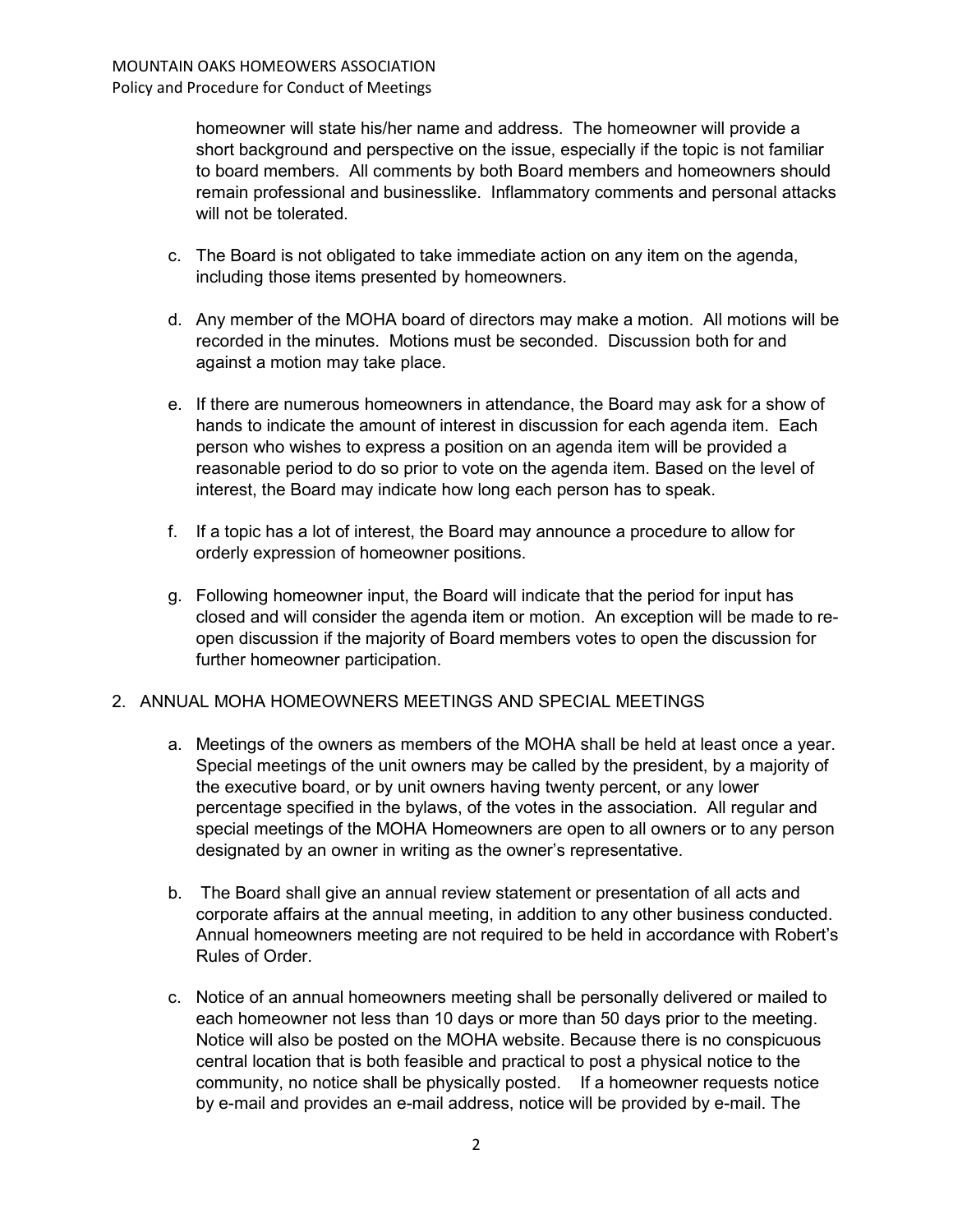homeowner will state his/her name and address. The homeowner will provide a short background and perspective on the issue, especially if the topic is not familiar to board members. All comments by both Board members and homeowners should remain professional and businesslike. Inflammatory comments and personal attacks will not be tolerated.

- c. The Board is not obligated to take immediate action on any item on the agenda, including those items presented by homeowners.
- d. Any member of the MOHA board of directors may make a motion. All motions will be recorded in the minutes. Motions must be seconded. Discussion both for and against a motion may take place.
- e. If there are numerous homeowners in attendance, the Board may ask for a show of hands to indicate the amount of interest in discussion for each agenda item. Each person who wishes to express a position on an agenda item will be provided a reasonable period to do so prior to vote on the agenda item. Based on the level of interest, the Board may indicate how long each person has to speak.
- f. If a topic has a lot of interest, the Board may announce a procedure to allow for orderly expression of homeowner positions.
- g. Following homeowner input, the Board will indicate that the period for input has closed and will consider the agenda item or motion. An exception will be made to reopen discussion if the majority of Board members votes to open the discussion for further homeowner participation.

### 2. ANNUAL MOHA HOMEOWNERS MEETINGS AND SPECIAL MEETINGS

- a. Meetings of the owners as members of the MOHA shall be held at least once a year. Special meetings of the unit owners may be called by the president, by a majority of the executive board, or by unit owners having twenty percent, or any lower percentage specified in the bylaws, of the votes in the association. All regular and special meetings of the MOHA Homeowners are open to all owners or to any person designated by an owner in writing as the owner's representative.
- b. The Board shall give an annual review statement or presentation of all acts and corporate affairs at the annual meeting, in addition to any other business conducted. Annual homeowners meeting are not required to be held in accordance with Robert's Rules of Order.
- c. Notice of an annual homeowners meeting shall be personally delivered or mailed to each homeowner not less than 10 days or more than 50 days prior to the meeting. Notice will also be posted on the MOHA website. Because there is no conspicuous central location that is both feasible and practical to post a physical notice to the community, no notice shall be physically posted. If a homeowner requests notice by e-mail and provides an e-mail address, notice will be provided by e-mail. The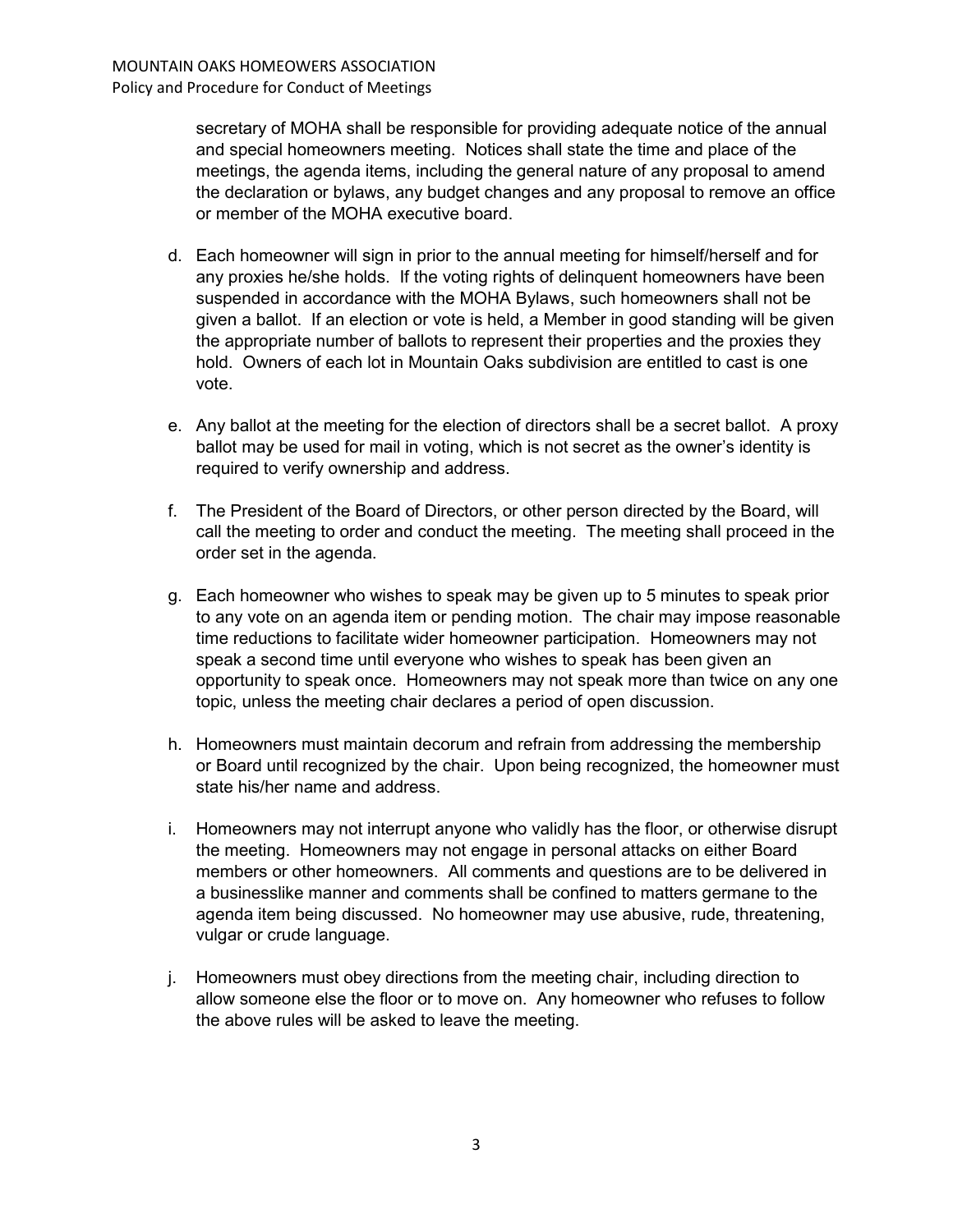secretary of MOHA shall be responsible for providing adequate notice of the annual and special homeowners meeting. Notices shall state the time and place of the meetings, the agenda items, including the general nature of any proposal to amend the declaration or bylaws, any budget changes and any proposal to remove an office or member of the MOHA executive board.

- d. Each homeowner will sign in prior to the annual meeting for himself/herself and for any proxies he/she holds. If the voting rights of delinquent homeowners have been suspended in accordance with the MOHA Bylaws, such homeowners shall not be given a ballot. If an election or vote is held, a Member in good standing will be given the appropriate number of ballots to represent their properties and the proxies they hold. Owners of each lot in Mountain Oaks subdivision are entitled to cast is one vote.
- e. Any ballot at the meeting for the election of directors shall be a secret ballot. A proxy ballot may be used for mail in voting, which is not secret as the owner's identity is required to verify ownership and address.
- f. The President of the Board of Directors, or other person directed by the Board, will call the meeting to order and conduct the meeting. The meeting shall proceed in the order set in the agenda.
- g. Each homeowner who wishes to speak may be given up to 5 minutes to speak prior to any vote on an agenda item or pending motion. The chair may impose reasonable time reductions to facilitate wider homeowner participation. Homeowners may not speak a second time until everyone who wishes to speak has been given an opportunity to speak once. Homeowners may not speak more than twice on any one topic, unless the meeting chair declares a period of open discussion.
- h. Homeowners must maintain decorum and refrain from addressing the membership or Board until recognized by the chair. Upon being recognized, the homeowner must state his/her name and address.
- i. Homeowners may not interrupt anyone who validly has the floor, or otherwise disrupt the meeting. Homeowners may not engage in personal attacks on either Board members or other homeowners. All comments and questions are to be delivered in a businesslike manner and comments shall be confined to matters germane to the agenda item being discussed. No homeowner may use abusive, rude, threatening, vulgar or crude language.
- j. Homeowners must obey directions from the meeting chair, including direction to allow someone else the floor or to move on. Any homeowner who refuses to follow the above rules will be asked to leave the meeting.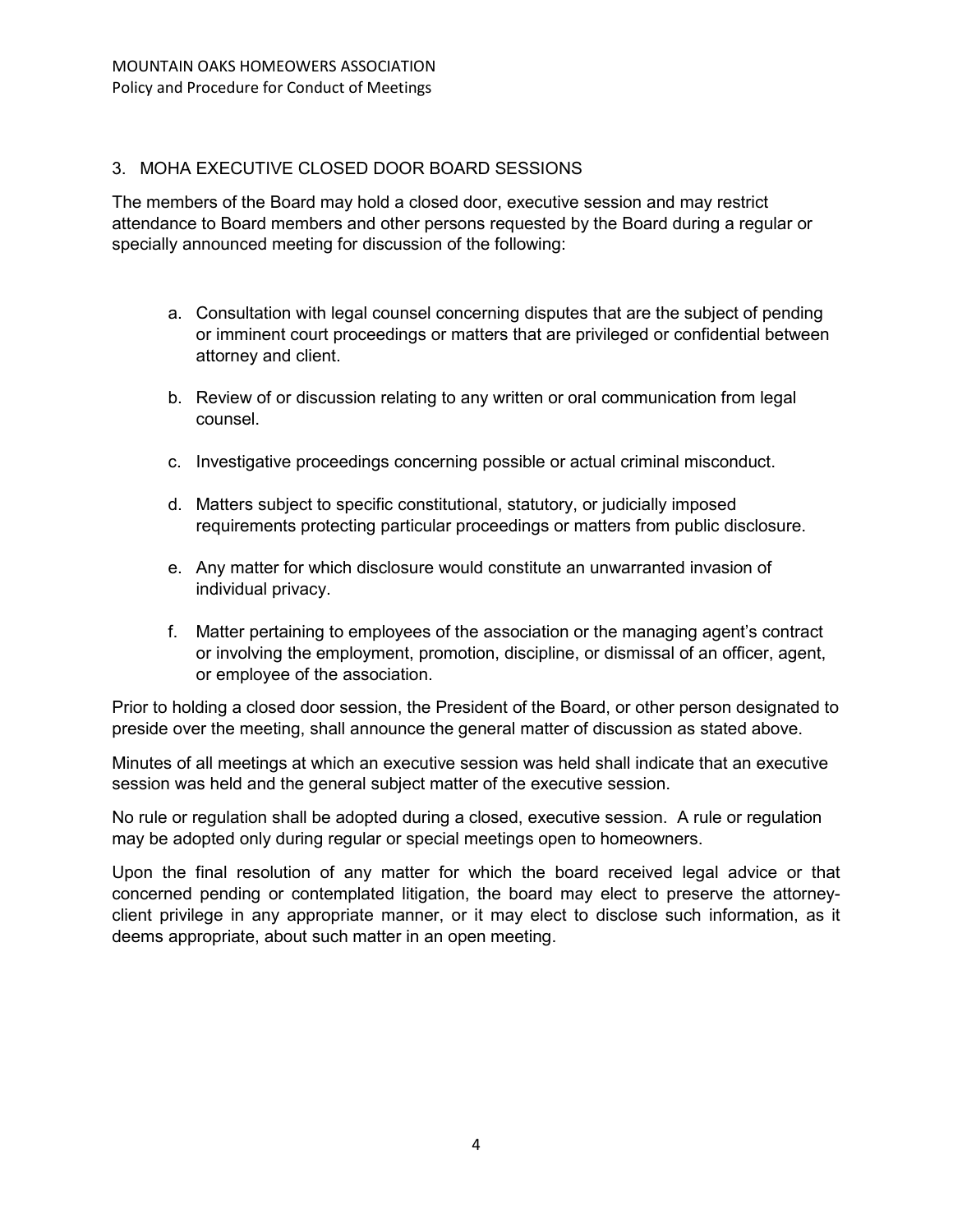# 3. MOHA EXECUTIVE CLOSED DOOR BOARD SESSIONS

The members of the Board may hold a closed door, executive session and may restrict attendance to Board members and other persons requested by the Board during a regular or specially announced meeting for discussion of the following:

- a. Consultation with legal counsel concerning disputes that are the subject of pending or imminent court proceedings or matters that are privileged or confidential between attorney and client.
- b. Review of or discussion relating to any written or oral communication from legal counsel.
- c. Investigative proceedings concerning possible or actual criminal misconduct.
- d. Matters subject to specific constitutional, statutory, or judicially imposed requirements protecting particular proceedings or matters from public disclosure.
- e. Any matter for which disclosure would constitute an unwarranted invasion of individual privacy.
- f. Matter pertaining to employees of the association or the managing agent's contract or involving the employment, promotion, discipline, or dismissal of an officer, agent, or employee of the association.

Prior to holding a closed door session, the President of the Board, or other person designated to preside over the meeting, shall announce the general matter of discussion as stated above.

Minutes of all meetings at which an executive session was held shall indicate that an executive session was held and the general subject matter of the executive session.

No rule or regulation shall be adopted during a closed, executive session. A rule or regulation may be adopted only during regular or special meetings open to homeowners.

Upon the final resolution of any matter for which the board received legal advice or that concerned pending or contemplated litigation, the board may elect to preserve the attorneyclient privilege in any appropriate manner, or it may elect to disclose such information, as it deems appropriate, about such matter in an open meeting.